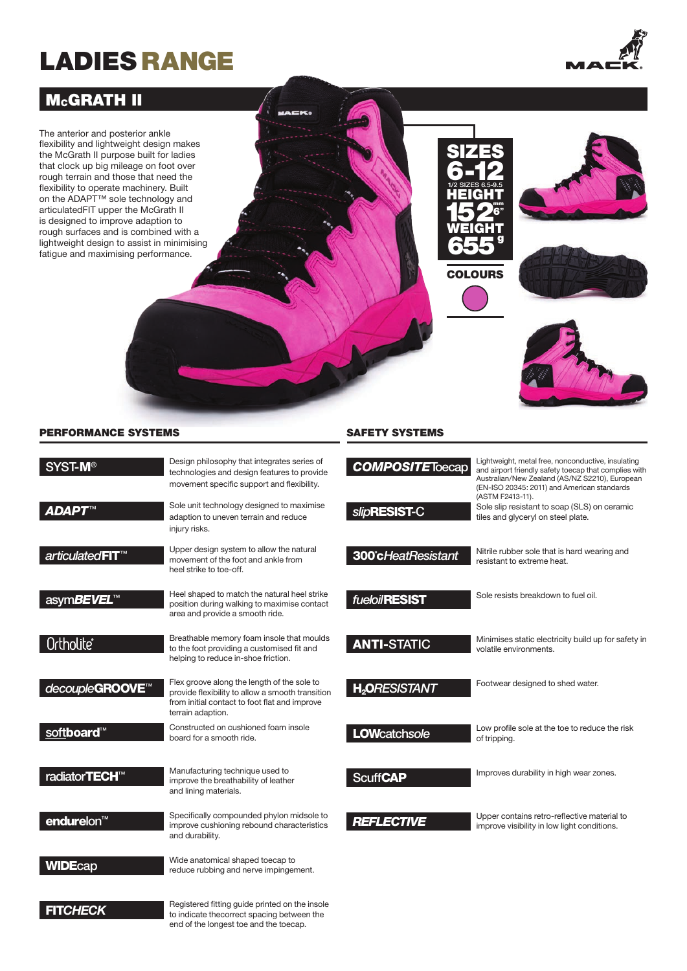# LADIES RANGE



# **McGRATH II**

The anterior and posterior ankle flexibility and lightweight design makes the McGrath II purpose built for ladies that clock up big mileage on foot over rough terrain and those that need the flexibility to operate machinery. Built on the ADAPT™ sole technology and articulatedFIT upper the McGrath II is designed to improve adaption to rough surfaces and is combined with a lightweight design to assist in minimising fatigue and maximising performance.









#### PERFORMANCE SYSTEMS SAFETY SYSTEMS

| <b>SYST-M®</b>                    | Design philosophy that integrates series of<br>technologies and design features to provide<br>movement specific support and flexibility.                              | CO   |
|-----------------------------------|-----------------------------------------------------------------------------------------------------------------------------------------------------------------------|------|
| <b>ADAPT™</b>                     | Sole unit technology designed to maximise<br>adaption to uneven terrain and reduce<br>injury risks.                                                                   | slip |
| articulated <b>FIT</b> ™          | Upper design system to allow the natural<br>movement of the foot and ankle from<br>heel strike to toe-off.                                                            | 300  |
| asym <i>BEVEL</i> ™               | Heel shaped to match the natural heel strike<br>position during walking to maximise contact<br>area and provide a smooth ride.                                        | fuel |
| Ortholite®                        | Breathable memory foam insole that moulds<br>to the foot providing a customised fit and<br>helping to reduce in-shoe friction.                                        | AN   |
| decoupleGROOVE <sup>™</sup>       | Flex groove along the length of the sole to<br>provide flexibility to allow a smooth transition<br>from initial contact to foot flat and improve<br>terrain adaption. |      |
| soft <b>board™</b>                | Constructed on cushioned foam insole<br>board for a smooth ride.                                                                                                      | LO   |
| radiator <b>TECH</b> <sup>™</sup> | Manufacturing technique used to<br>improve the breathability of leather<br>and lining materials.                                                                      | Scı. |
| endurelon <sup>™</sup>            | Specifically compounded phylon midsole to<br>improve cushioning rebound characteristics<br>and durability.                                                            |      |
| <b>WIDEcap</b>                    | Wide anatomical shaped toecap to<br>reduce rubbing and nerve impingement.                                                                                             |      |

| <b>COMPOSITEToecap</b><br>slip <b>RESIST-C</b> | Lightweight, metal free, nonconductive, insulating<br>and airport friendly safety toecap that complies with<br>Australian/New Zealand (AS/NZ S2210), European<br>(EN-ISO 20345: 2011) and American standards<br>(ASTM F2413-11).<br>Sole slip resistant to soap (SLS) on ceramic<br>tiles and glyceryl on steel plate. |
|------------------------------------------------|------------------------------------------------------------------------------------------------------------------------------------------------------------------------------------------------------------------------------------------------------------------------------------------------------------------------|
| 300°cHeatResistant                             | Nitrile rubber sole that is hard wearing and<br>resistant to extreme heat.                                                                                                                                                                                                                                             |
| fueloil <b>RESIST</b>                          | Sole resists breakdown to fuel oil.                                                                                                                                                                                                                                                                                    |
| <b>ANTI-STATIC</b>                             | Minimises static electricity build up for safety in<br>volatile environments.                                                                                                                                                                                                                                          |
| <b>H<sub>2</sub>ORESISTANT</b>                 | Footwear designed to shed water.                                                                                                                                                                                                                                                                                       |
| <b>LOW</b> catchsole                           | Low profile sole at the toe to reduce the risk<br>of tripping.                                                                                                                                                                                                                                                         |
| <b>ScuffCAP</b>                                | Improves durability in high wear zones.                                                                                                                                                                                                                                                                                |
| <b>REFLECTIVE</b>                              | Upper contains retro-reflective material to<br>improve visibility in low light conditions.                                                                                                                                                                                                                             |

Registered fitting guide printed on the insole to indicate thecorrect spacing between the end of the longest toe and the toecap.